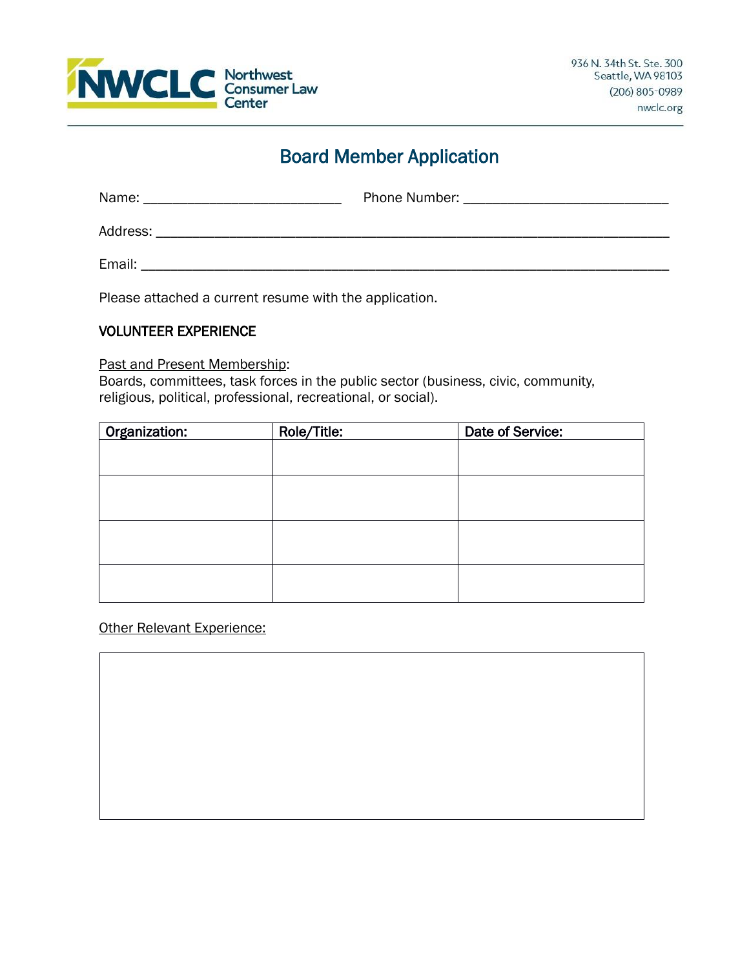

# Board Member Application

| Name:    | <b>Phone Number:</b> The Company of the Company of the Company of the Company of the Company of the Company of the Company of the Company of the Company of the Company of the Company of the Company of the Company of the Company |
|----------|-------------------------------------------------------------------------------------------------------------------------------------------------------------------------------------------------------------------------------------|
| Address: |                                                                                                                                                                                                                                     |
| Email:   |                                                                                                                                                                                                                                     |

Please attached a current resume with the application.

#### VOLUNTEER EXPERIENCE

#### Past and Present Membership:

Boards, committees, task forces in the public sector (business, civic, community, religious, political, professional, recreational, or social).

| Organization: | Role/Title: | Date of Service: |
|---------------|-------------|------------------|
|               |             |                  |
|               |             |                  |
|               |             |                  |
|               |             |                  |
|               |             |                  |
|               |             |                  |
|               |             |                  |
|               |             |                  |
|               |             |                  |
|               |             |                  |

Other Relevant Experience: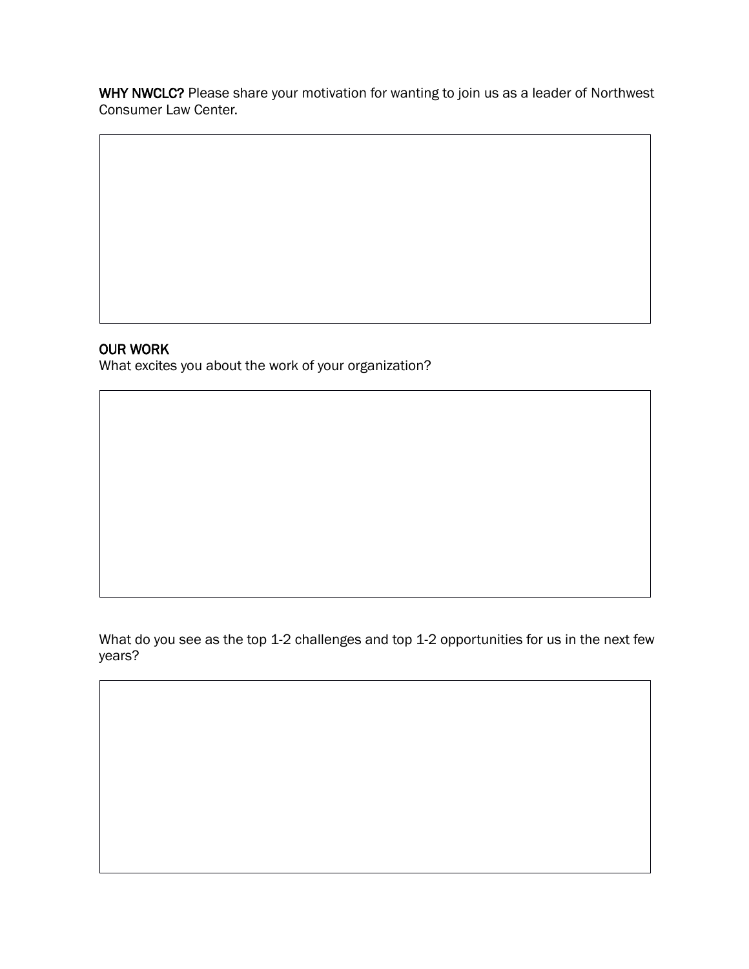WHY NWCLC? Please share your motivation for wanting to join us as a leader of Northwest Consumer Law Center.

# OUR WORK

What excites you about the work of your organization?

What do you see as the top 1-2 challenges and top 1-2 opportunities for us in the next few years?